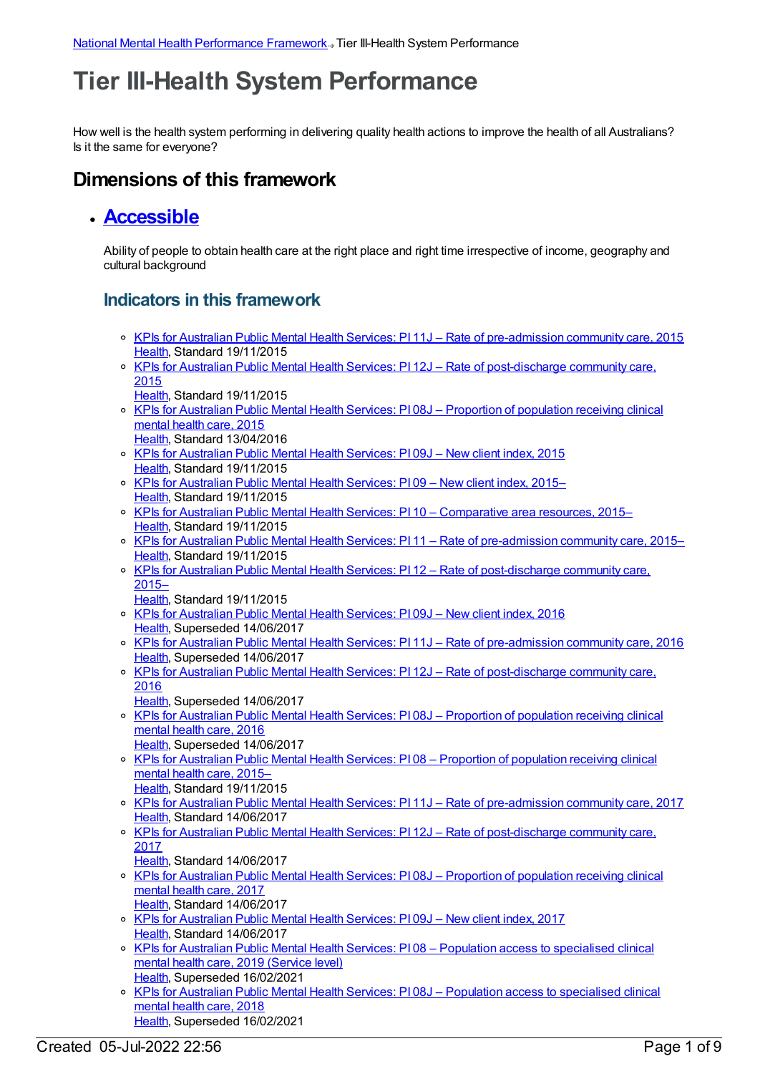# **Tier III-Health System Performance**

How well is the health system performing in delivering quality health actions to improve the health of all Australians? Is it the same for everyone?

## **Dimensions of this framework**

#### **[Accessible](https://meteor.aihw.gov.au/content/584868)**

Ability of people to obtain health care at the right place and right time irrespective of income, geography and cultural background

- KPIs for Australian Public Mental Health Services: PI 11J Rate of [pre-admission](https://meteor.aihw.gov.au/content/596972) community care, 2015 [Health](https://meteor.aihw.gov.au/RegistrationAuthority/12), Standard 19/11/2015
- o KPIs for Australian Public Mental Health Services: PI 12J Rate of [post-discharge](https://meteor.aihw.gov.au/content/596977) community care, 2015
	- [Health](https://meteor.aihw.gov.au/RegistrationAuthority/12), Standard 19/11/2015
- KPIs for Australian Public Mental Health Services: PI 08J [Proportion](https://meteor.aihw.gov.au/content/584375) of population receiving clinical mental health care, 2015 [Health](https://meteor.aihw.gov.au/RegistrationAuthority/12), Standard 13/04/2016
- o KPIs for [Australian](https://meteor.aihw.gov.au/content/596969) Public Mental Health Services: PI 09J New client index, 2015 [Health](https://meteor.aihw.gov.au/RegistrationAuthority/12), Standard 19/11/2015
- KPIs for [Australian](https://meteor.aihw.gov.au/content/584234) Public Mental Health Services: PI 09 New client index, 2015– [Health](https://meteor.aihw.gov.au/RegistrationAuthority/12), Standard 19/11/2015
- o KPIs for Australian Public Mental Health Services: PI 10 [Comparative](https://meteor.aihw.gov.au/content/596812) area resources, 2015– [Health](https://meteor.aihw.gov.au/RegistrationAuthority/12), Standard 19/11/2015
- o KPIs for Australian Public Mental Health Services: PI 11 Rate of [pre-admission](https://meteor.aihw.gov.au/content/584236) community care, 2015– [Health](https://meteor.aihw.gov.au/RegistrationAuthority/12), Standard 19/11/2015
- o KPIs for Australian Public Mental Health Services: PI 12 Rate of [post-discharge](https://meteor.aihw.gov.au/content/584238) community care, 2015–
	- [Health](https://meteor.aihw.gov.au/RegistrationAuthority/12), Standard 19/11/2015
- KPIs for [Australian](https://meteor.aihw.gov.au/content/630388) Public Mental Health Services: PI 09J New client index, 2016 [Health](https://meteor.aihw.gov.au/RegistrationAuthority/12), Superseded 14/06/2017
- KPIs for Australian Public Mental Health Services: PI 11J Rate of [pre-admission](https://meteor.aihw.gov.au/content/630390) community care, 2016 [Health](https://meteor.aihw.gov.au/RegistrationAuthority/12), Superseded 14/06/2017
- o KPIs for Australian Public Mental Health Services: PI 12J Rate of [post-discharge](https://meteor.aihw.gov.au/content/630392) community care, 2016
- [Health](https://meteor.aihw.gov.au/RegistrationAuthority/12), Superseded 14/06/2017
- KPIs for Australian Public Mental Health Services: PI 08J [Proportion](https://meteor.aihw.gov.au/content/630385) of population receiving clinical mental health care, 2016 [Health](https://meteor.aihw.gov.au/RegistrationAuthority/12), Superseded 14/06/2017
- KPIs for Australian Public Mental Health Services: PI 08 [Proportion](https://meteor.aihw.gov.au/content/584223) of population receiving clinical mental health care, 2015– [Health](https://meteor.aihw.gov.au/RegistrationAuthority/12), Standard 19/11/2015
- KPIs for Australian Public Mental Health Services: PI 11J Rate of [pre-admission](https://meteor.aihw.gov.au/content/663836) community care, 2017 [Health](https://meteor.aihw.gov.au/RegistrationAuthority/12), Standard 14/06/2017
- KPIs for Australian Public Mental Health Services: PI 12J Rate of [post-discharge](https://meteor.aihw.gov.au/content/663838) community care, 2017
	- [Health](https://meteor.aihw.gov.au/RegistrationAuthority/12), Standard 14/06/2017
- KPIs for Australian Public Mental Health Services: PI 08J [Proportion](https://meteor.aihw.gov.au/content/663825) of population receiving clinical mental health care, 2017 [Health](https://meteor.aihw.gov.au/RegistrationAuthority/12), Standard 14/06/2017
- KPIs for [Australian](https://meteor.aihw.gov.au/content/663834) Public Mental Health Services: PI 09J New client index, 2017 [Health](https://meteor.aihw.gov.au/RegistrationAuthority/12), Standard 14/06/2017
- KPIs for Australian Public Mental Health Services: PI 08 Population access to [specialised](https://meteor.aihw.gov.au/content/712098) clinical mental health care, 2019 (Service level) [Health](https://meteor.aihw.gov.au/RegistrationAuthority/12), Superseded 16/02/2021
- o KPIs for Australian Public Mental Health Services: PI 08J Population access to [specialised](https://meteor.aihw.gov.au/content/692989) clinical mental health care, 2018 [Health](https://meteor.aihw.gov.au/RegistrationAuthority/12), Superseded 16/02/2021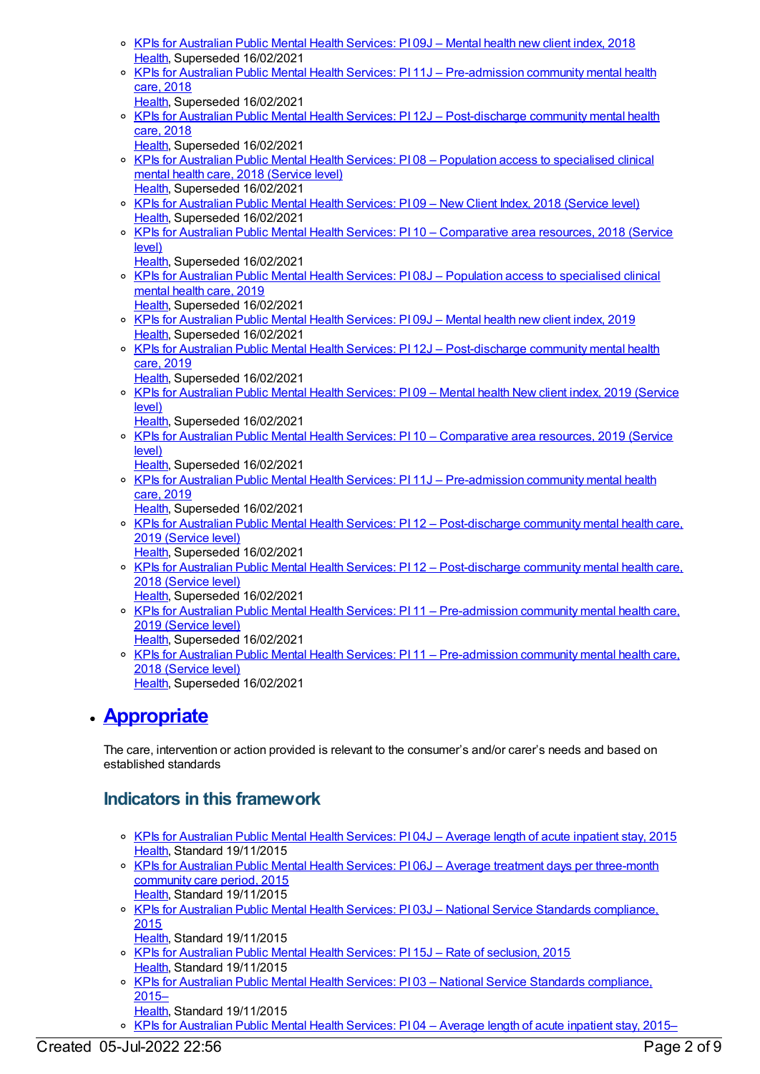- KPIs for [Australian](https://meteor.aihw.gov.au/content/692991) Public Mental Health Services: PI 09J Mental health new client index, 2018 [Health](https://meteor.aihw.gov.au/RegistrationAuthority/12), Superseded 16/02/2021
- o KPIs for Australian Public Mental Health Services: PI 11J [Pre-admission](https://meteor.aihw.gov.au/content/692993) community mental health care, 2018
- [Health](https://meteor.aihw.gov.au/RegistrationAuthority/12), Superseded 16/02/2021
- o KPIs for Australian Public Mental Health Services: PI 12J [Post-discharge](https://meteor.aihw.gov.au/content/692995) community mental health care, 2018
	- [Health](https://meteor.aihw.gov.au/RegistrationAuthority/12), Superseded 16/02/2021
- o KPIs for Australian Public Mental Health Services: PI 08 Population access to [specialised](https://meteor.aihw.gov.au/content/630413) clinical mental health care, 2018 (Service level) [Health](https://meteor.aihw.gov.au/RegistrationAuthority/12), Superseded 16/02/2021
- KPIs for [Australian](https://meteor.aihw.gov.au/content/633042) Public Mental Health Services: PI 09 New Client Index, 2018 (Service level) [Health](https://meteor.aihw.gov.au/RegistrationAuthority/12), Superseded 16/02/2021
- KPIs for Australian Public Mental Health Services: PI 10 [Comparative](https://meteor.aihw.gov.au/content/693359) area resources, 2018 (Service level)
	- [Health](https://meteor.aihw.gov.au/RegistrationAuthority/12), Superseded 16/02/2021
- KPIs for Australian Public Mental Health Services: PI 08J Population access to [specialised](https://meteor.aihw.gov.au/content/709390) clinical mental health care, 2019
- [Health](https://meteor.aihw.gov.au/RegistrationAuthority/12), Superseded 16/02/2021 KPIs for [Australian](https://meteor.aihw.gov.au/content/709396) Public Mental Health Services: PI 09J – Mental health new client index, 2019 [Health](https://meteor.aihw.gov.au/RegistrationAuthority/12), Superseded 16/02/2021
- KPIs for Australian Public Mental Health Services: PI 12J [Post-discharge](https://meteor.aihw.gov.au/content/709386) community mental health care, 2019
- [Health](https://meteor.aihw.gov.au/RegistrationAuthority/12), Superseded 16/02/2021
- o KPIs for [Australian](https://meteor.aihw.gov.au/content/712088) Public Mental Health Services: PI09 Mental health New client index, 2019 (Service level)
	- [Health](https://meteor.aihw.gov.au/RegistrationAuthority/12), Superseded 16/02/2021
- o KPIs for Australian Public Mental Health Services: PI 10 [Comparative](https://meteor.aihw.gov.au/content/712084) area resources, 2019 (Service level)
	- [Health](https://meteor.aihw.gov.au/RegistrationAuthority/12), Superseded 16/02/2021
- KPIs for Australian Public Mental Health Services: PI 11J [Pre-admission](https://meteor.aihw.gov.au/content/709384) community mental health care, 2019
	- [Health](https://meteor.aihw.gov.au/RegistrationAuthority/12), Superseded 16/02/2021
- o KPIs for Australian Public Mental Health Services: PI 12 [Post-discharge](https://meteor.aihw.gov.au/content/712101) community mental health care, 2019 (Service level)
	- [Health](https://meteor.aihw.gov.au/RegistrationAuthority/12), Superseded 16/02/2021
- o KPIs for Australian Public Mental Health Services: PI 12 [Post-discharge](https://meteor.aihw.gov.au/content/633048) community mental health care, 2018 (Service level)
	- [Health](https://meteor.aihw.gov.au/RegistrationAuthority/12), Superseded 16/02/2021
- o KPIs for Australian Public Mental Health Services: PI 11 [Pre-admission](https://meteor.aihw.gov.au/content/712104) community mental health care, 2019 (Service level)
- [Health](https://meteor.aihw.gov.au/RegistrationAuthority/12), Superseded 16/02/2021 KPIs for Australian Public Mental Health Services: PI 11 – [Pre-admission](https://meteor.aihw.gov.au/content/633046) community mental health care, 2018 (Service level) [Health](https://meteor.aihw.gov.au/RegistrationAuthority/12), Superseded 16/02/2021

# **[Appropriate](https://meteor.aihw.gov.au/content/584871)**

The care, intervention or action provided is relevant to the consumer's and/or carer's needs and based on established standards

- KPIs for [Australian](https://meteor.aihw.gov.au/content/584306) Public Mental Health Services: PI 04J Average length of acute inpatient stay, 2015 [Health](https://meteor.aihw.gov.au/RegistrationAuthority/12), Standard 19/11/2015
- KPIs for Australian Public Mental Health Services: PI 06J Average treatment days per [three-month](https://meteor.aihw.gov.au/content/597095) community care period, 2015 [Health](https://meteor.aihw.gov.au/RegistrationAuthority/12), Standard 19/11/2015
- KPIs for Australian Public Mental Health Services: PI 03J National Service Standards [compliance,](https://meteor.aihw.gov.au/content/583786) 2015
- [Health](https://meteor.aihw.gov.au/RegistrationAuthority/12), Standard 19/11/2015
- KPIs for [Australian](https://meteor.aihw.gov.au/content/596858) Public Mental Health Services: PI 15J Rate of seclusion, 2015 [Health](https://meteor.aihw.gov.au/RegistrationAuthority/12), Standard 19/11/2015
- KPIs for Australian Public Mental Health Services: PI 03 National Service Standards [compliance,](https://meteor.aihw.gov.au/content/596823) 2015–
- [Health](https://meteor.aihw.gov.au/RegistrationAuthority/12), Standard 19/11/2015
- o KPIs for [Australian](https://meteor.aihw.gov.au/content/584068) Public Mental Health Services: PI 04 Average length of acute inpatient stay, 2015–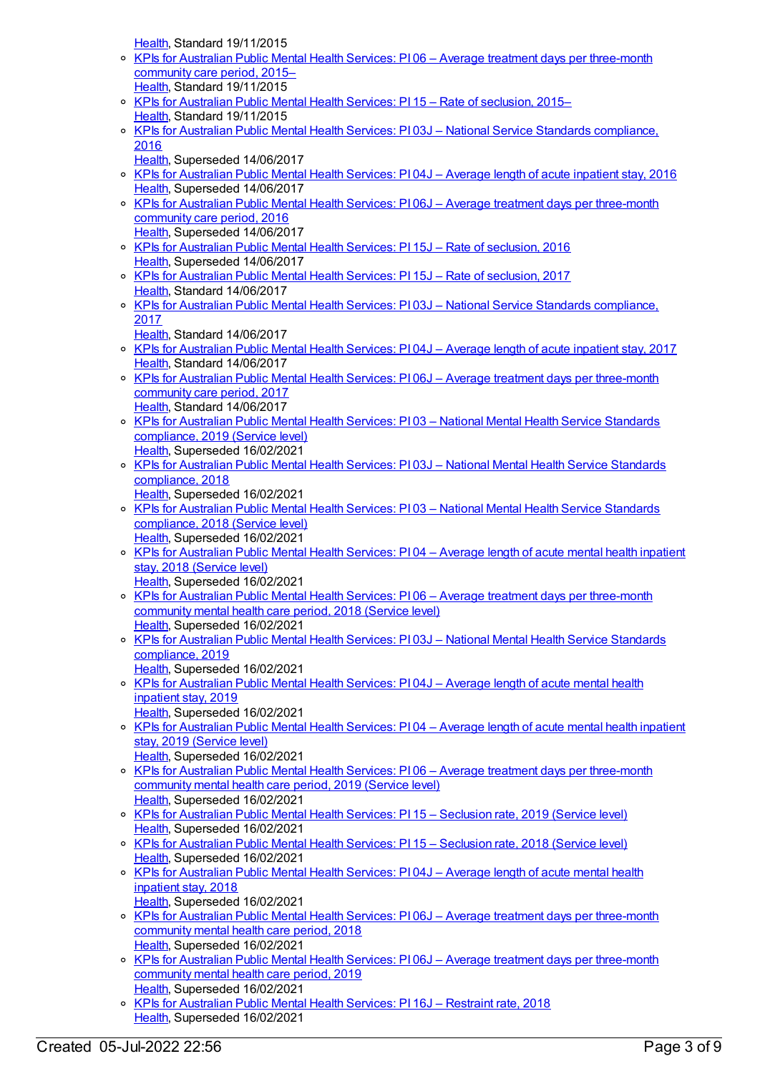[Health](https://meteor.aihw.gov.au/RegistrationAuthority/12), Standard 19/11/2015

- o KPIs for Australian Public Mental Health Services: PI 06 Average treatment days per [three-month](https://meteor.aihw.gov.au/content/584195) community care period, 2015– [Health](https://meteor.aihw.gov.au/RegistrationAuthority/12), Standard 19/11/2015
- o KPIs for [Australian](https://meteor.aihw.gov.au/content/584248) Public Mental Health Services: PI 15 Rate of seclusion, 2015– [Health](https://meteor.aihw.gov.au/RegistrationAuthority/12), Standard 19/11/2015
- o KPIs for Australian Public Mental Health Services: PI 03J National Service Standards [compliance,](https://meteor.aihw.gov.au/content/630362) 2016
	- [Health](https://meteor.aihw.gov.au/RegistrationAuthority/12), Superseded 14/06/2017
- o KPIs for [Australian](https://meteor.aihw.gov.au/content/630367) Public Mental Health Services: PI 04J Average length of acute inpatient stay, 2016 [Health](https://meteor.aihw.gov.au/RegistrationAuthority/12), Superseded 14/06/2017
- KPIs for Australian Public Mental Health Services: PI 06J Average treatment days per [three-month](https://meteor.aihw.gov.au/content/630375) community care period, 2016 [Health](https://meteor.aihw.gov.au/RegistrationAuthority/12), Superseded 14/06/2017
- KPIs for [Australian](https://meteor.aihw.gov.au/content/630396) Public Mental Health Services: PI 15J Rate of seclusion, 2016 [Health](https://meteor.aihw.gov.au/RegistrationAuthority/12), Superseded 14/06/2017
- KPIs for [Australian](https://meteor.aihw.gov.au/content/663842) Public Mental Health Services: PI 15J Rate of seclusion, 2017 [Health](https://meteor.aihw.gov.au/RegistrationAuthority/12), Standard 14/06/2017
- o KPIs for Australian Public Mental Health Services: PI 03J National Service Standards [compliance,](https://meteor.aihw.gov.au/content/663808) 2017
- [Health](https://meteor.aihw.gov.au/RegistrationAuthority/12), Standard 14/06/2017
- KPIs for [Australian](https://meteor.aihw.gov.au/content/663813) Public Mental Health Services: PI 04J Average length of acute inpatient stay, 2017 [Health](https://meteor.aihw.gov.au/RegistrationAuthority/12), Standard 14/06/2017
- o KPIs for Australian Public Mental Health Services: PI 06J Average treatment days per [three-month](https://meteor.aihw.gov.au/content/663819) community care period, 2017 [Health](https://meteor.aihw.gov.au/RegistrationAuthority/12), Standard 14/06/2017
- KPIs for Australian Public Mental Health Services: PI 03 National Mental Health Service [Standards](https://meteor.aihw.gov.au/content/712095) compliance, 2019 (Service level) [Health](https://meteor.aihw.gov.au/RegistrationAuthority/12), Superseded 16/02/2021
- KPIs for Australian Public Mental Health Services: PI 03J National Mental Health Service [Standards](https://meteor.aihw.gov.au/content/692978) compliance, 2018
- [Health](https://meteor.aihw.gov.au/RegistrationAuthority/12), Superseded 16/02/2021 o KPIs for Australian Public Mental Health Services: PI 03 - National Mental Health Service Standards [compliance,](https://meteor.aihw.gov.au/content/633021) 2018 (Service level)
- [Health](https://meteor.aihw.gov.au/RegistrationAuthority/12), Superseded 16/02/2021 KPIs for [Australian](https://meteor.aihw.gov.au/content/633023) Public Mental Health Services: PI 04 – Average length of acute mental health inpatient
- stay, 2018 (Service level) [Health](https://meteor.aihw.gov.au/RegistrationAuthority/12), Superseded 16/02/2021
- o KPIs for Australian Public Mental Health Services: PI06 Average treatment days per [three-month](https://meteor.aihw.gov.au/content/633033) community mental health care period, 2018 (Service level) [Health](https://meteor.aihw.gov.au/RegistrationAuthority/12), Superseded 16/02/2021
- o KPIs for Australian Public Mental Health Services: PI 03J National Mental Health Service Standards [compliance,](https://meteor.aihw.gov.au/content/709392) 2019
- [Health](https://meteor.aihw.gov.au/RegistrationAuthority/12), Superseded 16/02/2021 KPIs for [Australian](https://meteor.aihw.gov.au/content/709403) Public Mental Health Services: PI 04J – Average length of acute mental health inpatient stay, 2019
- [Health](https://meteor.aihw.gov.au/RegistrationAuthority/12), Superseded 16/02/2021 <sup>o</sup> KPIs for [Australian](https://meteor.aihw.gov.au/content/712076) Public Mental Health Services: PI 04 – Average length of acute mental health inpatient stay, 2019 (Service level) [Health](https://meteor.aihw.gov.au/RegistrationAuthority/12), Superseded 16/02/2021
- o KPIs for Australian Public Mental Health Services: PI06 Average treatment days per [three-month](https://meteor.aihw.gov.au/content/712078) community mental health care period, 2019 (Service level) [Health](https://meteor.aihw.gov.au/RegistrationAuthority/12), Superseded 16/02/2021
- KPIs for [Australian](https://meteor.aihw.gov.au/content/712110) Public Mental Health Services: PI 15 Seclusion rate, 2019 (Service level) [Health](https://meteor.aihw.gov.au/RegistrationAuthority/12), Superseded 16/02/2021
- o KPIs for [Australian](https://meteor.aihw.gov.au/content/633052) Public Mental Health Services: PI 15 Seclusion rate, 2018 (Service level) [Health](https://meteor.aihw.gov.au/RegistrationAuthority/12), Superseded 16/02/2021
- KPIs for [Australian](https://meteor.aihw.gov.au/content/692981) Public Mental Health Services: PI 04J Average length of acute mental health inpatient stay, 2018
- [Health](https://meteor.aihw.gov.au/RegistrationAuthority/12), Superseded 16/02/2021
- o KPIs for Australian Public Mental Health Services: PI 06J Average treatment days per [three-month](https://meteor.aihw.gov.au/content/692985) community mental health care period, 2018 [Health](https://meteor.aihw.gov.au/RegistrationAuthority/12), Superseded 16/02/2021
- o KPIs for Australian Public Mental Health Services: PI 06J Average treatment days per [three-month](https://meteor.aihw.gov.au/content/709400) community mental health care period, 2019 [Health](https://meteor.aihw.gov.au/RegistrationAuthority/12), Superseded 16/02/2021
- o KPIs for [Australian](https://meteor.aihw.gov.au/content/693910) Public Mental Health Services: PI 16J Restraint rate, 2018 [Health](https://meteor.aihw.gov.au/RegistrationAuthority/12), Superseded 16/02/2021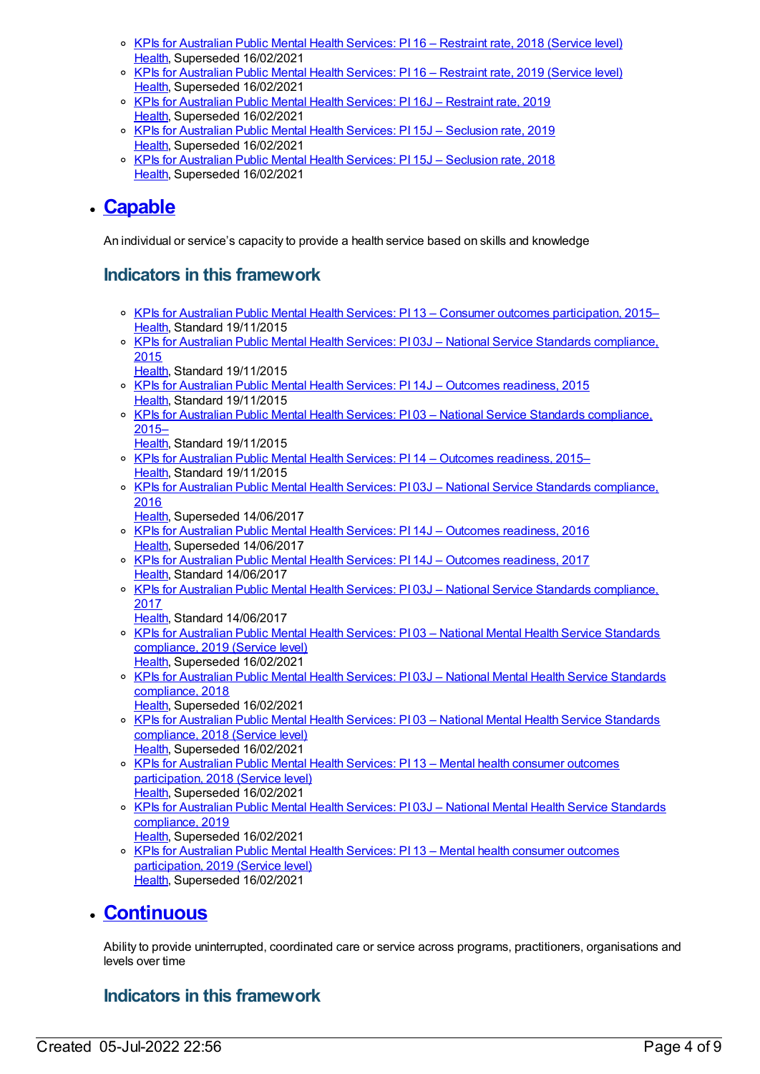- KPIs for [Australian](https://meteor.aihw.gov.au/content/693971) Public Mental Health Services: PI 16 Restraint rate, 2018 (Service level) [Health](https://meteor.aihw.gov.au/RegistrationAuthority/12), Superseded 16/02/2021
- o KPIs for [Australian](https://meteor.aihw.gov.au/content/712107) Public Mental Health Services: PI 16 Restraint rate, 2019 (Service level) [Health](https://meteor.aihw.gov.au/RegistrationAuthority/12), Superseded 16/02/2021
- o KPIs for [Australian](https://meteor.aihw.gov.au/content/709382) Public Mental Health Services: PI 16J Restraint rate, 2019 [Health](https://meteor.aihw.gov.au/RegistrationAuthority/12), Superseded 16/02/2021
- o KPIs for [Australian](https://meteor.aihw.gov.au/content/709380) Public Mental Health Services: PI 15J Seclusion rate, 2019 [Health](https://meteor.aihw.gov.au/RegistrationAuthority/12), Superseded 16/02/2021
- o KPIs for [Australian](https://meteor.aihw.gov.au/content/692999) Public Mental Health Services: PI 15J Seclusion rate, 2018 [Health](https://meteor.aihw.gov.au/RegistrationAuthority/12), Superseded 16/02/2021

# **[Capable](https://meteor.aihw.gov.au/content/584863)**

An individual or service's capacity to provide a health service based on skills and knowledge

#### **Indicators in this framework**

- o KPIs for Australian Public Mental Health Services: PI 13 Consumer outcomes [participation,](https://meteor.aihw.gov.au/content/596814) 2015– [Health](https://meteor.aihw.gov.au/RegistrationAuthority/12), Standard 19/11/2015
- KPIs for Australian Public Mental Health Services: PI 03J National Service Standards [compliance,](https://meteor.aihw.gov.au/content/583786) 2015
	- [Health](https://meteor.aihw.gov.au/RegistrationAuthority/12), Standard 19/11/2015
- KPIs for Australian Public Mental Health Services: PI 14J Outcomes [readiness,](https://meteor.aihw.gov.au/content/597117) 2015 [Health](https://meteor.aihw.gov.au/RegistrationAuthority/12), Standard 19/11/2015
- KPIs for Australian Public Mental Health Services: PI 03 National Service Standards [compliance,](https://meteor.aihw.gov.au/content/596823) 2015–
	- [Health](https://meteor.aihw.gov.au/RegistrationAuthority/12), Standard 19/11/2015
- o KPIs for Australian Public Mental Health Services: PI 14 Outcomes [readiness,](https://meteor.aihw.gov.au/content/584245) 2015-[Health](https://meteor.aihw.gov.au/RegistrationAuthority/12), Standard 19/11/2015
- KPIs for Australian Public Mental Health Services: PI 03J National Service Standards [compliance,](https://meteor.aihw.gov.au/content/630362) 2016
- [Health](https://meteor.aihw.gov.au/RegistrationAuthority/12), Superseded 14/06/2017
- o KPIs for Australian Public Mental Health Services: PI 14J Outcomes [readiness,](https://meteor.aihw.gov.au/content/630394) 2016 [Health](https://meteor.aihw.gov.au/RegistrationAuthority/12), Superseded 14/06/2017
- KPIs for Australian Public Mental Health Services: PI 14J Outcomes [readiness,](https://meteor.aihw.gov.au/content/663840) 2017 [Health](https://meteor.aihw.gov.au/RegistrationAuthority/12), Standard 14/06/2017
- o KPIs for Australian Public Mental Health Services: PI 03J National Service Standards [compliance,](https://meteor.aihw.gov.au/content/663808) 2017
	- [Health](https://meteor.aihw.gov.au/RegistrationAuthority/12), Standard 14/06/2017
- o KPIs for Australian Public Mental Health Services: PI 03 National Mental Health Service Standards [compliance,](https://meteor.aihw.gov.au/content/712095) 2019 (Service level) [Health](https://meteor.aihw.gov.au/RegistrationAuthority/12), Superseded 16/02/2021
- o KPIs for Australian Public Mental Health Services: PI 03J National Mental Health Service Standards [compliance,](https://meteor.aihw.gov.au/content/692978) 2018 [Health](https://meteor.aihw.gov.au/RegistrationAuthority/12), Superseded 16/02/2021
- o KPIs for Australian Public Mental Health Services: PI 03 National Mental Health Service [Standards](https://meteor.aihw.gov.au/content/633021) compliance, 2018 (Service level) [Health](https://meteor.aihw.gov.au/RegistrationAuthority/12), Superseded 16/02/2021
- KPIs for Australian Public Mental Health Services: PI 13 Mental health consumer outcomes [participation,](https://meteor.aihw.gov.au/content/693357) 2018 (Service level) [Health](https://meteor.aihw.gov.au/RegistrationAuthority/12), Superseded 16/02/2021
- o KPIs for Australian Public Mental Health Services: PI 03J National Mental Health Service Standards [compliance,](https://meteor.aihw.gov.au/content/709392) 2019 [Health](https://meteor.aihw.gov.au/RegistrationAuthority/12), Superseded 16/02/2021
- o KPIs for Australian Public Mental Health Services: PI 13 Mental health consumer outcomes [participation,](https://meteor.aihw.gov.au/content/712086) 2019 (Service level) [Health](https://meteor.aihw.gov.au/RegistrationAuthority/12), Superseded 16/02/2021

## **[Continuous](https://meteor.aihw.gov.au/content/584864)**

Ability to provide uninterrupted, coordinated care or service across programs, practitioners, organisations and levels over time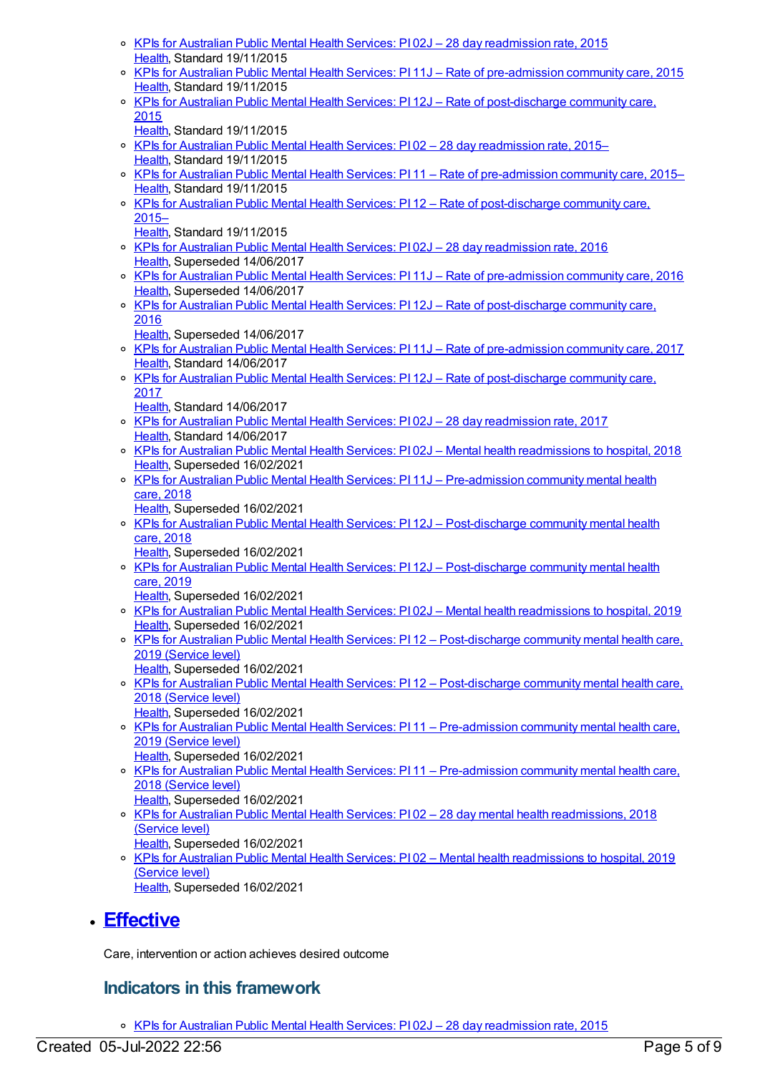- KPIs for Australian Public Mental Health Services: PI 02J 28 day [readmission](https://meteor.aihw.gov.au/content/585913) rate, 2015 [Health](https://meteor.aihw.gov.au/RegistrationAuthority/12), Standard 19/11/2015
- KPIs for Australian Public Mental Health Services: PI 11J Rate of [pre-admission](https://meteor.aihw.gov.au/content/596972) community care, 2015 [Health](https://meteor.aihw.gov.au/RegistrationAuthority/12), Standard 19/11/2015
- o KPIs for Australian Public Mental Health Services: PI 12J Rate of [post-discharge](https://meteor.aihw.gov.au/content/596977) community care, 2015
	- [Health](https://meteor.aihw.gov.au/RegistrationAuthority/12), Standard 19/11/2015
- o KPIs for Australian Public Mental Health Services: PI 02 28 day [readmission](https://meteor.aihw.gov.au/content/584044) rate, 2015-[Health](https://meteor.aihw.gov.au/RegistrationAuthority/12), Standard 19/11/2015
- o KPIs for Australian Public Mental Health Services: PI 11 Rate of [pre-admission](https://meteor.aihw.gov.au/content/584236) community care, 2015– [Health](https://meteor.aihw.gov.au/RegistrationAuthority/12), Standard 19/11/2015
- KPIs for Australian Public Mental Health Services: PI 12 Rate of [post-discharge](https://meteor.aihw.gov.au/content/584238) community care, 2015–
	- [Health](https://meteor.aihw.gov.au/RegistrationAuthority/12), Standard 19/11/2015
- KPIs for Australian Public Mental Health Services: PI 02J 28 day [readmission](https://meteor.aihw.gov.au/content/630360) rate, 2016 [Health](https://meteor.aihw.gov.au/RegistrationAuthority/12), Superseded 14/06/2017
- KPIs for Australian Public Mental Health Services: PI 11J Rate of [pre-admission](https://meteor.aihw.gov.au/content/630390) community care, 2016 [Health](https://meteor.aihw.gov.au/RegistrationAuthority/12), Superseded 14/06/2017
- o KPIs for Australian Public Mental Health Services: PI 12J Rate of [post-discharge](https://meteor.aihw.gov.au/content/630392) community care, 2016
- [Health](https://meteor.aihw.gov.au/RegistrationAuthority/12), Superseded 14/06/2017
- KPIs for Australian Public Mental Health Services: PI 11J Rate of [pre-admission](https://meteor.aihw.gov.au/content/663836) community care, 2017 [Health](https://meteor.aihw.gov.au/RegistrationAuthority/12), Standard 14/06/2017
- o KPIs for Australian Public Mental Health Services: PI 12J Rate of [post-discharge](https://meteor.aihw.gov.au/content/663838) community care, 2017
- [Health](https://meteor.aihw.gov.au/RegistrationAuthority/12), Standard 14/06/2017 KPIs for Australian Public Mental Health Services: PI 02J – 28 day [readmission](https://meteor.aihw.gov.au/content/663806) rate, 2017
- [Health](https://meteor.aihw.gov.au/RegistrationAuthority/12), Standard 14/06/2017
- KPIs for Australian Public Mental Health Services: PI 02J Mental health [readmissions](https://meteor.aihw.gov.au/content/692976) to hospital, 2018 [Health](https://meteor.aihw.gov.au/RegistrationAuthority/12), Superseded 16/02/2021
- KPIs for Australian Public Mental Health Services: PI 11J [Pre-admission](https://meteor.aihw.gov.au/content/692993) community mental health care, 2018
	- [Health](https://meteor.aihw.gov.au/RegistrationAuthority/12), Superseded 16/02/2021
- o KPIs for Australian Public Mental Health Services: PI 12J [Post-discharge](https://meteor.aihw.gov.au/content/692995) community mental health care, 2018
	- [Health](https://meteor.aihw.gov.au/RegistrationAuthority/12), Superseded 16/02/2021
- o KPIs for Australian Public Mental Health Services: PI 12J [Post-discharge](https://meteor.aihw.gov.au/content/709386) community mental health care, 2019
	- [Health](https://meteor.aihw.gov.au/RegistrationAuthority/12), Superseded 16/02/2021
- KPIs for Australian Public Mental Health Services: PI 02J Mental health [readmissions](https://meteor.aihw.gov.au/content/709394) to hospital, 2019 [Health](https://meteor.aihw.gov.au/RegistrationAuthority/12), Superseded 16/02/2021
- o KPIs for Australian Public Mental Health Services: PI 12 [Post-discharge](https://meteor.aihw.gov.au/content/712101) community mental health care, 2019 (Service level)
- [Health](https://meteor.aihw.gov.au/RegistrationAuthority/12), Superseded 16/02/2021 o KPIs for Australian Public Mental Health Services: PI 12 – [Post-discharge](https://meteor.aihw.gov.au/content/633048) community mental health care, 2018 (Service level)
- [Health](https://meteor.aihw.gov.au/RegistrationAuthority/12), Superseded 16/02/2021 o KPIs for Australian Public Mental Health Services: PI 11 – [Pre-admission](https://meteor.aihw.gov.au/content/712104) community mental health care, 2019 (Service level) [Health](https://meteor.aihw.gov.au/RegistrationAuthority/12), Superseded 16/02/2021
- KPIs for Australian Public Mental Health Services: PI 11 [Pre-admission](https://meteor.aihw.gov.au/content/633046) community mental health care, 2018 (Service level) [Health](https://meteor.aihw.gov.au/RegistrationAuthority/12), Superseded 16/02/2021
- KPIs for Australian Public Mental Health Services: PI 02 28 day mental health [readmissions,](https://meteor.aihw.gov.au/content/633017) 2018 (Service level) [Health](https://meteor.aihw.gov.au/RegistrationAuthority/12), Superseded 16/02/2021
- o KPIs for Australian Public Mental Health Services: PI 02 Mental health [readmissions](https://meteor.aihw.gov.au/content/712092) to hospital, 2019 (Service level) [Health](https://meteor.aihw.gov.au/RegistrationAuthority/12), Superseded 16/02/2021

# **[Effective](https://meteor.aihw.gov.au/content/584872)**

Care, intervention or action achieves desired outcome

#### **Indicators in this framework**

o KPIs for Australian Public Mental Health Services: PI 02J - 28 day [readmission](https://meteor.aihw.gov.au/content/585913) rate, 2015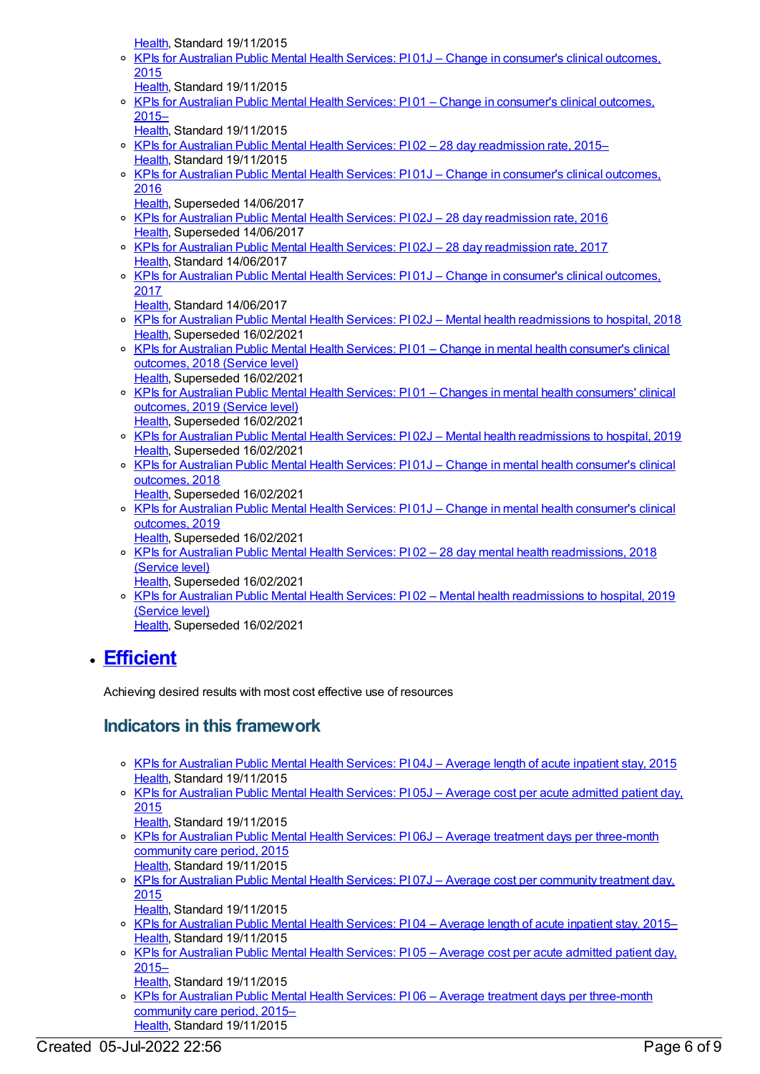[Health](https://meteor.aihw.gov.au/RegistrationAuthority/12), Standard 19/11/2015

- KPIs for Australian Public Mental Health Services: PI 01J Change in [consumer's](https://meteor.aihw.gov.au/content/584821) clinical outcomes, 2015
- [Health](https://meteor.aihw.gov.au/RegistrationAuthority/12), Standard 19/11/2015 o KPIs for Australian Public Mental Health Services: PI01 – Change in [consumer's](https://meteor.aihw.gov.au/content/584024) clinical outcomes, 2015–
	- [Health](https://meteor.aihw.gov.au/RegistrationAuthority/12), Standard 19/11/2015
- o KPIs for Australian Public Mental Health Services: PI 02 28 day [readmission](https://meteor.aihw.gov.au/content/584044) rate, 2015– [Health](https://meteor.aihw.gov.au/RegistrationAuthority/12), Standard 19/11/2015
- o KPIs for Australian Public Mental Health Services: PI 01J Change in [consumer's](https://meteor.aihw.gov.au/content/630358) clinical outcomes, 2016
- [Health](https://meteor.aihw.gov.au/RegistrationAuthority/12), Superseded 14/06/2017
- o KPIs for Australian Public Mental Health Services: PI 02J 28 day [readmission](https://meteor.aihw.gov.au/content/630360) rate, 2016 [Health](https://meteor.aihw.gov.au/RegistrationAuthority/12), Superseded 14/06/2017
- KPIs for Australian Public Mental Health Services: PI 02J 28 day [readmission](https://meteor.aihw.gov.au/content/663806) rate, 2017 [Health](https://meteor.aihw.gov.au/RegistrationAuthority/12), Standard 14/06/2017
- KPIs for Australian Public Mental Health Services: PI 01J Change in [consumer's](https://meteor.aihw.gov.au/content/663800) clinical outcomes, 2017
	- [Health](https://meteor.aihw.gov.au/RegistrationAuthority/12), Standard 14/06/2017
- KPIs for Australian Public Mental Health Services: PI 02J Mental health [readmissions](https://meteor.aihw.gov.au/content/692976) to hospital, 2018 [Health](https://meteor.aihw.gov.au/RegistrationAuthority/12), Superseded 16/02/2021
- KPIs for Australian Public Mental Health Services: PI 01 Change in mental health [consumer's](https://meteor.aihw.gov.au/content/693117) clinical outcomes, 2018 (Service level) [Health](https://meteor.aihw.gov.au/RegistrationAuthority/12), Superseded 16/02/2021
- KPIs for Australian Public Mental Health Services: PI 01 Changes in mental health [consumers'](https://meteor.aihw.gov.au/content/712080) clinical outcomes, 2019 (Service level) [Health](https://meteor.aihw.gov.au/RegistrationAuthority/12), Superseded 16/02/2021
- KPIs for Australian Public Mental Health Services: PI 02J Mental health [readmissions](https://meteor.aihw.gov.au/content/709394) to hospital, 2019 [Health](https://meteor.aihw.gov.au/RegistrationAuthority/12), Superseded 16/02/2021
- o KPIs for Australian Public Mental Health Services: PI 01J Change in mental health [consumer's](https://meteor.aihw.gov.au/content/692974) clinical outcomes, 2018
- [Health](https://meteor.aihw.gov.au/RegistrationAuthority/12), Superseded 16/02/2021 o KPIs for Australian Public Mental Health Services: PI 01J – Change in mental health [consumer's](https://meteor.aihw.gov.au/content/709398) clinical outcomes, 2019
- [Health](https://meteor.aihw.gov.au/RegistrationAuthority/12), Superseded 16/02/2021
- KPIs for Australian Public Mental Health Services: PI 02 28 day mental health [readmissions,](https://meteor.aihw.gov.au/content/633017) 2018 (Service level)
- [Health](https://meteor.aihw.gov.au/RegistrationAuthority/12), Superseded 16/02/2021 o KPIs for Australian Public Mental Health Services: PI 02 – Mental health [readmissions](https://meteor.aihw.gov.au/content/712092) to hospital, 2019 (Service level)
	- [Health](https://meteor.aihw.gov.au/RegistrationAuthority/12), Superseded 16/02/2021

# **[Efficient](https://meteor.aihw.gov.au/content/584870)**

Achieving desired results with most cost effective use of resources

- KPIs for [Australian](https://meteor.aihw.gov.au/content/584306) Public Mental Health Services: PI 04J Average length of acute inpatient stay, 2015 [Health](https://meteor.aihw.gov.au/RegistrationAuthority/12), Standard 19/11/2015
- o KPIs for [Australian](https://meteor.aihw.gov.au/content/597092) Public Mental Health Services: PI 05J Average cost per acute admitted patient day, 2015
	- [Health](https://meteor.aihw.gov.au/RegistrationAuthority/12), Standard 19/11/2015
- o KPIs for Australian Public Mental Health Services: PI 06J Average treatment days per [three-month](https://meteor.aihw.gov.au/content/597095) community care period, 2015 [Health](https://meteor.aihw.gov.au/RegistrationAuthority/12), Standard 19/11/2015
- o KPIs for Australian Public Mental Health Services: PI 07J Average cost per [community](https://meteor.aihw.gov.au/content/597098) treatment day, 2015
	- [Health](https://meteor.aihw.gov.au/RegistrationAuthority/12), Standard 19/11/2015
- o KPIs for [Australian](https://meteor.aihw.gov.au/content/584068) Public Mental Health Services: PI04 Average length of acute inpatient stay, 2015-[Health](https://meteor.aihw.gov.au/RegistrationAuthority/12), Standard 19/11/2015
- o KPIs for [Australian](https://meteor.aihw.gov.au/content/583849) Public Mental Health Services: PI 05 Average cost per acute admitted patient day, 2015–
- [Health](https://meteor.aihw.gov.au/RegistrationAuthority/12), Standard 19/11/2015
- o KPIs for Australian Public Mental Health Services: P106 Average treatment days per [three-month](https://meteor.aihw.gov.au/content/584195) community care period, 2015– [Health](https://meteor.aihw.gov.au/RegistrationAuthority/12), Standard 19/11/2015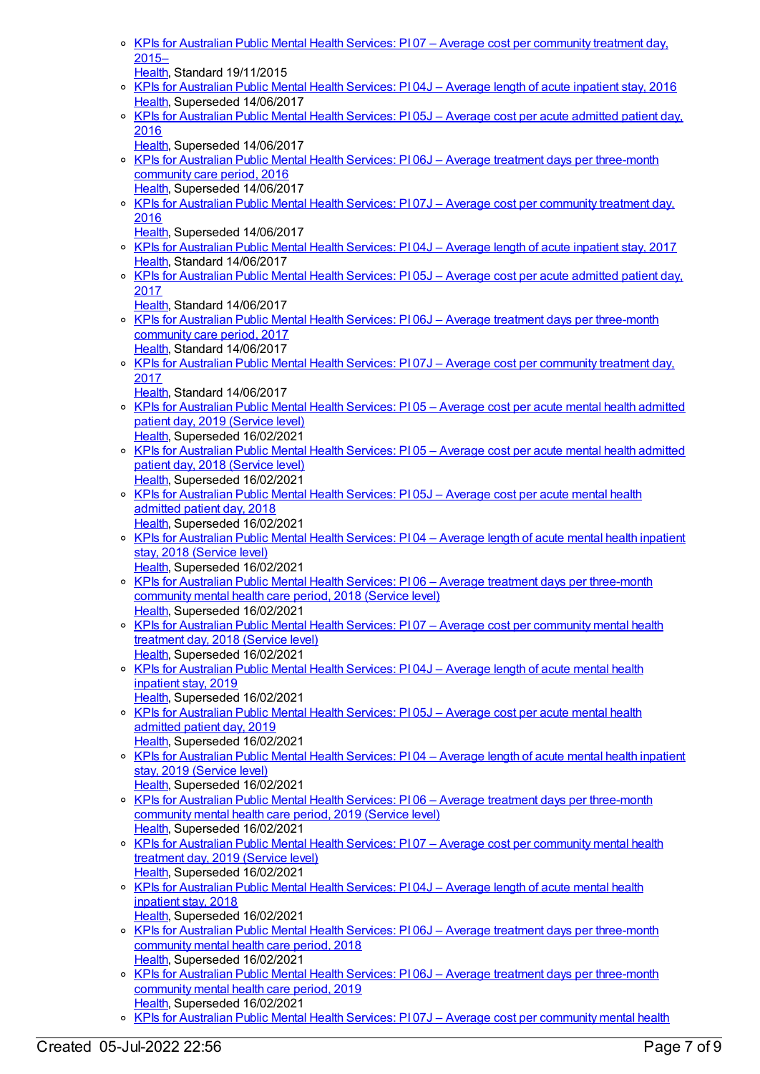o KPIs for Australian Public Mental Health Services: PI 07 – Average cost per [community](https://meteor.aihw.gov.au/content/584220) treatment day,  $2015 -$ 

[Health](https://meteor.aihw.gov.au/RegistrationAuthority/12), Standard 19/11/2015

- o KPIs for [Australian](https://meteor.aihw.gov.au/content/630367) Public Mental Health Services: PI 04J Average length of acute inpatient stay, 2016 [Health](https://meteor.aihw.gov.au/RegistrationAuthority/12), Superseded 14/06/2017
- KPIs for [Australian](https://meteor.aihw.gov.au/content/630372) Public Mental Health Services: PI 05J Average cost per acute admitted patient day, 2016
	- [Health](https://meteor.aihw.gov.au/RegistrationAuthority/12), Superseded 14/06/2017
- o KPIs for Australian Public Mental Health Services: PI 06J Average treatment days per [three-month](https://meteor.aihw.gov.au/content/630375) community care period, 2016 [Health](https://meteor.aihw.gov.au/RegistrationAuthority/12), Superseded 14/06/2017
- KPIs for Australian Public Mental Health Services: PI 07J Average cost per [community](https://meteor.aihw.gov.au/content/630380) treatment day, 2016
	- [Health](https://meteor.aihw.gov.au/RegistrationAuthority/12), Superseded 14/06/2017
- KPIs for [Australian](https://meteor.aihw.gov.au/content/663813) Public Mental Health Services: PI 04J Average length of acute inpatient stay, 2017 [Health](https://meteor.aihw.gov.au/RegistrationAuthority/12), Standard 14/06/2017
- KPIs for [Australian](https://meteor.aihw.gov.au/content/663815) Public Mental Health Services: PI 05J Average cost per acute admitted patient day, 2017
	- [Health](https://meteor.aihw.gov.au/RegistrationAuthority/12), Standard 14/06/2017
- o KPIs for Australian Public Mental Health Services: PI 06J Average treatment days per [three-month](https://meteor.aihw.gov.au/content/663819) community care period, 2017 [Health](https://meteor.aihw.gov.au/RegistrationAuthority/12), Standard 14/06/2017
- o KPIs for Australian Public Mental Health Services: PI 07J Average cost per [community](https://meteor.aihw.gov.au/content/663822) treatment day, 2017
	- [Health](https://meteor.aihw.gov.au/RegistrationAuthority/12), Standard 14/06/2017
- KPIs for [Australian](https://meteor.aihw.gov.au/content/712072) Public Mental Health Services: PI 05 Average cost per acute mental health admitted patient day, 2019 (Service level) [Health](https://meteor.aihw.gov.au/RegistrationAuthority/12), Superseded 16/02/2021
- o KPIs for [Australian](https://meteor.aihw.gov.au/content/633031) Public Mental Health Services: PI 05 Average cost per acute mental health admitted patient day, 2018 (Service level) [Health](https://meteor.aihw.gov.au/RegistrationAuthority/12), Superseded 16/02/2021
- KPIs for [Australian](https://meteor.aihw.gov.au/content/692983) Public Mental Health Services: PI 05J Average cost per acute mental health admitted patient day, 2018 [Health](https://meteor.aihw.gov.au/RegistrationAuthority/12), Superseded 16/02/2021
- KPIs for [Australian](https://meteor.aihw.gov.au/content/633023) Public Mental Health Services: PI 04 Average length of acute mental health inpatient stay, 2018 (Service level)
- [Health](https://meteor.aihw.gov.au/RegistrationAuthority/12), Superseded 16/02/2021 KPIs for Australian Public Mental Health Services: PI 06 – Average treatment days per [three-month](https://meteor.aihw.gov.au/content/633033) community mental health care period, 2018 (Service level) [Health](https://meteor.aihw.gov.au/RegistrationAuthority/12), Superseded 16/02/2021
- KPIs for Australian Public Mental Health Services: PI 07 Average cost per [community](https://meteor.aihw.gov.au/content/633038) mental health treatment day, 2018 (Service level) [Health](https://meteor.aihw.gov.au/RegistrationAuthority/12), Superseded 16/02/2021
- KPIs for [Australian](https://meteor.aihw.gov.au/content/709403) Public Mental Health Services: PI 04J Average length of acute mental health inpatient stay, 2019
- [Health](https://meteor.aihw.gov.au/RegistrationAuthority/12), Superseded 16/02/2021
- o KPIs for [Australian](https://meteor.aihw.gov.au/content/709407) Public Mental Health Services: PI 05J Average cost per acute mental health admitted patient day, 2019 [Health](https://meteor.aihw.gov.au/RegistrationAuthority/12), Superseded 16/02/2021
- o KPIs for [Australian](https://meteor.aihw.gov.au/content/712076) Public Mental Health Services: PI 04 Average length of acute mental health inpatient stay, 2019 (Service level)
- [Health](https://meteor.aihw.gov.au/RegistrationAuthority/12), Superseded 16/02/2021 o KPIs for Australian Public Mental Health Services: PI06 - Average treatment days per [three-month](https://meteor.aihw.gov.au/content/712078) community mental health care period, 2019 (Service level) [Health](https://meteor.aihw.gov.au/RegistrationAuthority/12), Superseded 16/02/2021
- <sup>o</sup> KPIs for Australian Public Mental Health Services: PI 07 Average cost per [community](https://meteor.aihw.gov.au/content/712074) mental health treatment day, 2019 (Service level) [Health](https://meteor.aihw.gov.au/RegistrationAuthority/12), Superseded 16/02/2021
- o KPIs for [Australian](https://meteor.aihw.gov.au/content/692981) Public Mental Health Services: PI 04J Average length of acute mental health inpatient stay, 2018
- [Health](https://meteor.aihw.gov.au/RegistrationAuthority/12), Superseded 16/02/2021
- KPIs for Australian Public Mental Health Services: PI 06J Average treatment days per [three-month](https://meteor.aihw.gov.au/content/692985) community mental health care period, 2018 [Health](https://meteor.aihw.gov.au/RegistrationAuthority/12), Superseded 16/02/2021
- KPIs for Australian Public Mental Health Services: PI 06J Average treatment days per [three-month](https://meteor.aihw.gov.au/content/709400) community mental health care period, 2019 [Health](https://meteor.aihw.gov.au/RegistrationAuthority/12), Superseded 16/02/2021
- o KPIs for Australian Public Mental Health Services: PI 07J Average cost per [community](https://meteor.aihw.gov.au/content/692987) mental health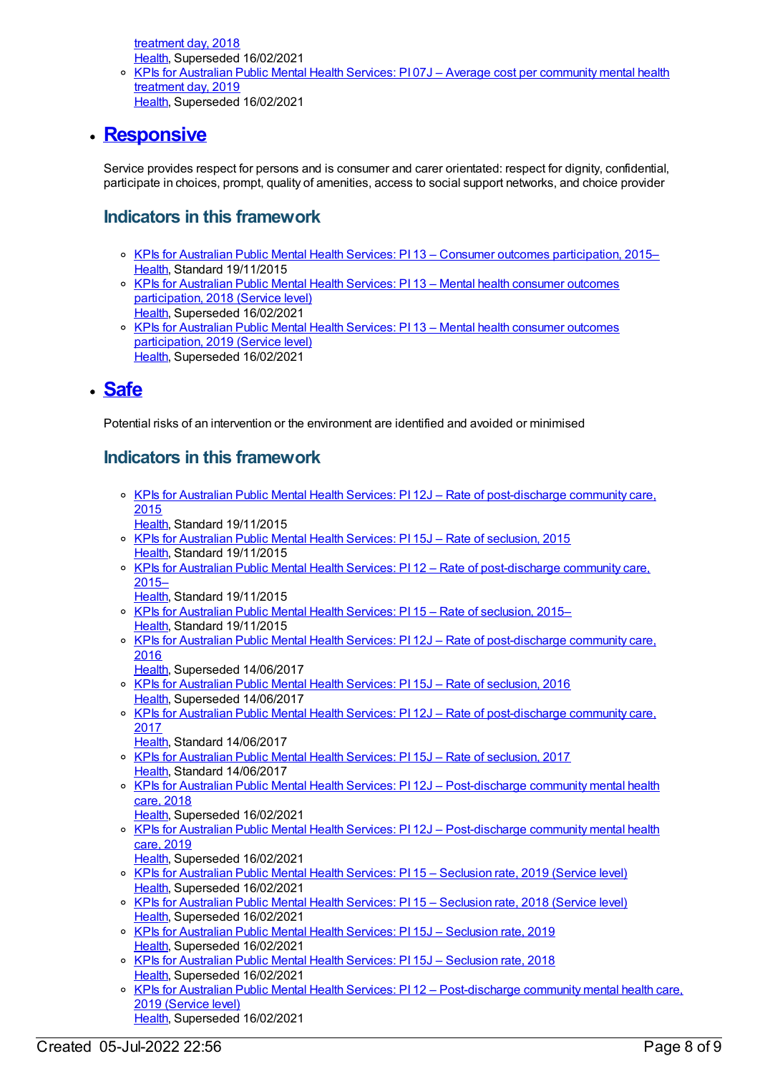treatment day, 2018 [Health](https://meteor.aihw.gov.au/RegistrationAuthority/12), Superseded 16/02/2021

KPIs for Australian Public Mental Health Services: PI 07J – Average cost per [community](https://meteor.aihw.gov.au/content/709405) mental health treatment day, 2019

[Health](https://meteor.aihw.gov.au/RegistrationAuthority/12), Superseded 16/02/2021

## **[Responsive](https://meteor.aihw.gov.au/content/584869)**

Service provides respect for persons and is consumer and carer orientated: respect for dignity, confidential, participate in choices, prompt, quality of amenities, access to social support networks, and choice provider

## **Indicators in this framework**

- o KPIs for Australian Public Mental Health Services: PI 13 Consumer outcomes [participation,](https://meteor.aihw.gov.au/content/596814) 2015– [Health](https://meteor.aihw.gov.au/RegistrationAuthority/12), Standard 19/11/2015
- o KPIs for Australian Public Mental Health Services: PI 13 Mental health consumer outcomes [participation,](https://meteor.aihw.gov.au/content/693357) 2018 (Service level) [Health](https://meteor.aihw.gov.au/RegistrationAuthority/12), Superseded 16/02/2021
- o KPIs for Australian Public Mental Health Services: PI 13 Mental health consumer outcomes [participation,](https://meteor.aihw.gov.au/content/712086) 2019 (Service level) [Health](https://meteor.aihw.gov.au/RegistrationAuthority/12), Superseded 16/02/2021

#### **[Safe](https://meteor.aihw.gov.au/content/584866)**

Potential risks of an intervention or the environment are identified and avoided or minimised

## **Indicators in this framework**

- o KPIs for Australian Public Mental Health Services: PI 12J Rate of [post-discharge](https://meteor.aihw.gov.au/content/596977) community care, 2015
	- [Health](https://meteor.aihw.gov.au/RegistrationAuthority/12), Standard 19/11/2015
- KPIs for [Australian](https://meteor.aihw.gov.au/content/596858) Public Mental Health Services: PI 15J Rate of seclusion, 2015 [Health](https://meteor.aihw.gov.au/RegistrationAuthority/12), Standard 19/11/2015
- o KPIs for Australian Public Mental Health Services: PI 12 Rate of [post-discharge](https://meteor.aihw.gov.au/content/584238) community care, 2015–
	- [Health](https://meteor.aihw.gov.au/RegistrationAuthority/12), Standard 19/11/2015
- o KPIs for [Australian](https://meteor.aihw.gov.au/content/584248) Public Mental Health Services: PI 15 Rate of seclusion, 2015– [Health](https://meteor.aihw.gov.au/RegistrationAuthority/12), Standard 19/11/2015
- KPIs for Australian Public Mental Health Services: PI 12J Rate of [post-discharge](https://meteor.aihw.gov.au/content/630392) community care, 2016

[Health](https://meteor.aihw.gov.au/RegistrationAuthority/12), Superseded 14/06/2017

- o KPIs for [Australian](https://meteor.aihw.gov.au/content/630396) Public Mental Health Services: PI 15J Rate of seclusion, 2016 [Health](https://meteor.aihw.gov.au/RegistrationAuthority/12), Superseded 14/06/2017
- KPIs for Australian Public Mental Health Services: PI 12J Rate of [post-discharge](https://meteor.aihw.gov.au/content/663838) community care, 2017
- [Health](https://meteor.aihw.gov.au/RegistrationAuthority/12), Standard 14/06/2017
- o KPIs for [Australian](https://meteor.aihw.gov.au/content/663842) Public Mental Health Services: PI 15J Rate of seclusion, 2017 [Health](https://meteor.aihw.gov.au/RegistrationAuthority/12), Standard 14/06/2017
- KPIs for Australian Public Mental Health Services: PI 12J [Post-discharge](https://meteor.aihw.gov.au/content/692995) community mental health care, 2018
- [Health](https://meteor.aihw.gov.au/RegistrationAuthority/12), Superseded 16/02/2021
- <sup>o</sup> KPIs for Australian Public Mental Health Services: PI 12J [Post-discharge](https://meteor.aihw.gov.au/content/709386) community mental health care, 2019
	- [Health](https://meteor.aihw.gov.au/RegistrationAuthority/12), Superseded 16/02/2021
- KPIs for [Australian](https://meteor.aihw.gov.au/content/712110) Public Mental Health Services: PI 15 Seclusion rate, 2019 (Service level) [Health](https://meteor.aihw.gov.au/RegistrationAuthority/12), Superseded 16/02/2021
- KPIs for [Australian](https://meteor.aihw.gov.au/content/633052) Public Mental Health Services: PI 15 Seclusion rate, 2018 (Service level) [Health](https://meteor.aihw.gov.au/RegistrationAuthority/12), Superseded 16/02/2021
- o KPIs for [Australian](https://meteor.aihw.gov.au/content/709380) Public Mental Health Services: PI 15J Seclusion rate, 2019 [Health](https://meteor.aihw.gov.au/RegistrationAuthority/12), Superseded 16/02/2021
- o KPIs for [Australian](https://meteor.aihw.gov.au/content/692999) Public Mental Health Services: PI 15J Seclusion rate, 2018 [Health](https://meteor.aihw.gov.au/RegistrationAuthority/12), Superseded 16/02/2021
- o KPIs for Australian Public Mental Health Services: PI 12 [Post-discharge](https://meteor.aihw.gov.au/content/712101) community mental health care, 2019 (Service level) [Health](https://meteor.aihw.gov.au/RegistrationAuthority/12), Superseded 16/02/2021